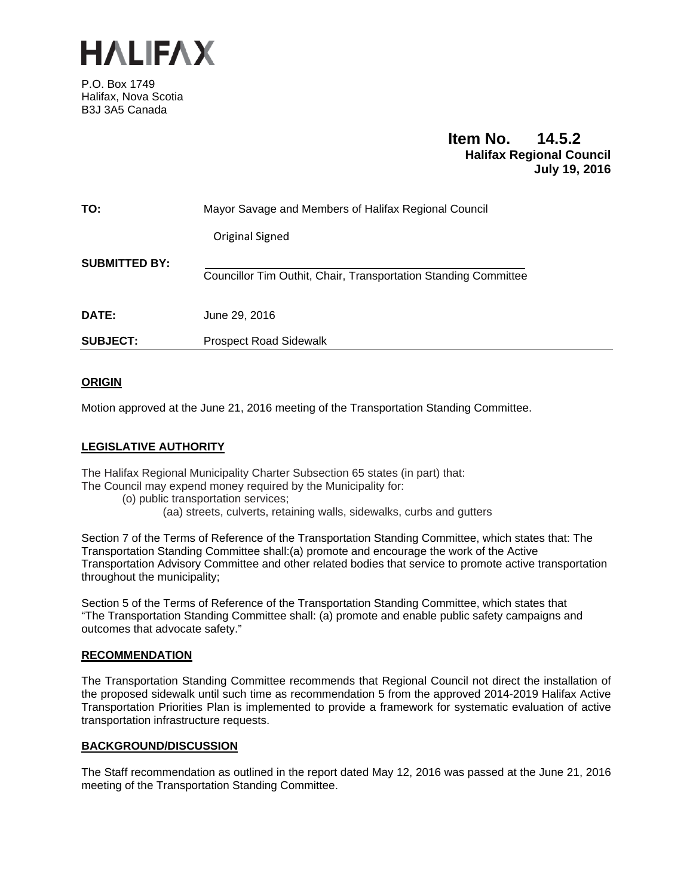

P.O. Box 1749 Halifax, Nova Scotia B3J 3A5 Canada

# **Item No. 14.5.2 Halifax Regional Council July 19, 2016**

| <b>SUBJECT:</b>      | <b>Prospect Road Sidewalk</b>                                   |
|----------------------|-----------------------------------------------------------------|
| DATE:                | June 29, 2016                                                   |
| <b>SUBMITTED BY:</b> | Councillor Tim Outhit, Chair, Transportation Standing Committee |
|                      | Original Signed                                                 |
| TO:                  | Mayor Savage and Members of Halifax Regional Council            |

# **ORIGIN**

Motion approved at the June 21, 2016 meeting of the Transportation Standing Committee.

## **LEGISLATIVE AUTHORITY**

The Halifax Regional Municipality Charter Subsection 65 states (in part) that: The Council may expend money required by the Municipality for:

- (o) public transportation services;
	- (aa) streets, culverts, retaining walls, sidewalks, curbs and gutters

Section 7 of the Terms of Reference of the Transportation Standing Committee, which states that: The Transportation Standing Committee shall:(a) promote and encourage the work of the Active Transportation Advisory Committee and other related bodies that service to promote active transportation throughout the municipality;

Section 5 of the Terms of Reference of the Transportation Standing Committee, which states that "The Transportation Standing Committee shall: (a) promote and enable public safety campaigns and outcomes that advocate safety."

## **RECOMMENDATION**

The Transportation Standing Committee recommends that Regional Council not direct the installation of the proposed sidewalk until such time as recommendation 5 from the approved 2014-2019 Halifax Active Transportation Priorities Plan is implemented to provide a framework for systematic evaluation of active transportation infrastructure requests.

## **BACKGROUND/DISCUSSION**

The Staff recommendation as outlined in the report dated May 12, 2016 was passed at the June 21, 2016 meeting of the Transportation Standing Committee.